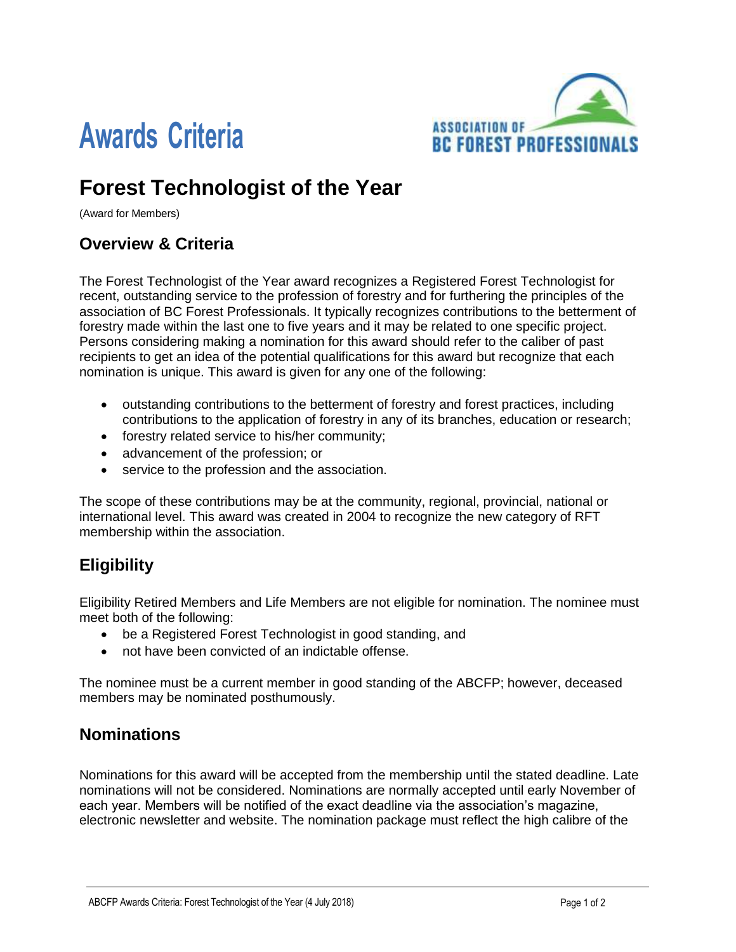

# **Awards Criteria**

# **Forest Technologist of the Year**

(Award for Members)

## **Overview & Criteria**

The Forest Technologist of the Year award recognizes a Registered Forest Technologist for recent, outstanding service to the profession of forestry and for furthering the principles of the association of BC Forest Professionals. It typically recognizes contributions to the betterment of forestry made within the last one to five years and it may be related to one specific project. Persons considering making a nomination for this award should refer to the caliber of past recipients to get an idea of the potential qualifications for this award but recognize that each nomination is unique. This award is given for any one of the following:

- outstanding contributions to the betterment of forestry and forest practices, including contributions to the application of forestry in any of its branches, education or research;
- forestry related service to his/her community;
- advancement of the profession; or
- service to the profession and the association.

The scope of these contributions may be at the community, regional, provincial, national or international level. This award was created in 2004 to recognize the new category of RFT membership within the association.

## **Eligibility**

Eligibility Retired Members and Life Members are not eligible for nomination. The nominee must meet both of the following:

- be a Registered Forest Technologist in good standing, and
- not have been convicted of an indictable offense.

The nominee must be a current member in good standing of the ABCFP; however, deceased members may be nominated posthumously.

#### **Nominations**

Nominations for this award will be accepted from the membership until the stated deadline. Late nominations will not be considered. Nominations are normally accepted until early November of each year. Members will be notified of the exact deadline via the association's magazine, electronic newsletter and website. The nomination package must reflect the high calibre of the